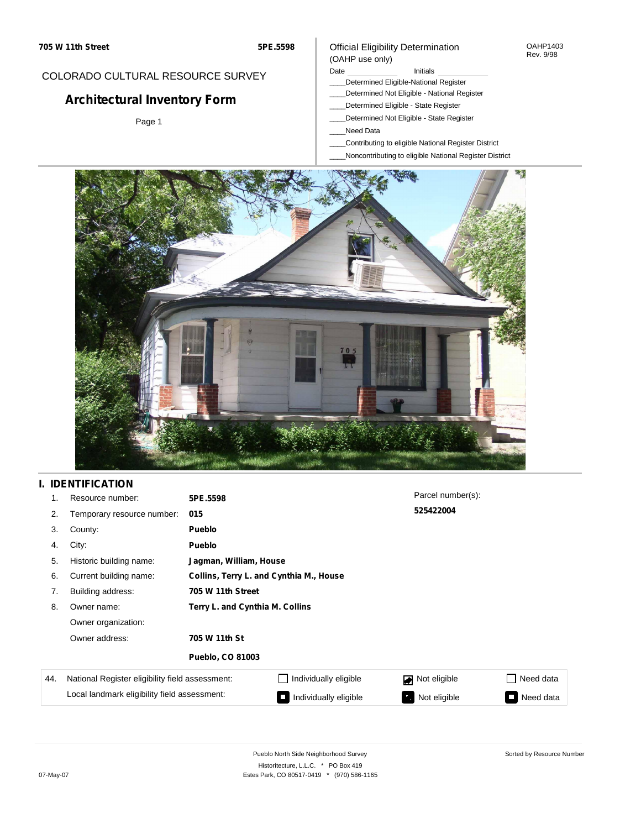### COLORADO CULTURAL RESOURCE SURVEY

# **Architectural Inventory Form**

Page 1

#### Official Eligibility Determination (OAHP use only)

Date **Initials** Initials

- \_\_\_\_Determined Eligible-National Register
- \_\_\_\_Determined Not Eligible National Register
- \_\_\_\_Determined Eligible State Register
- \_\_\_\_Determined Not Eligible State Register
- \_\_\_\_Need Data
- \_\_\_\_Contributing to eligible National Register District
- \_\_\_\_Noncontributing to eligible National Register District



# **I. IDENTIFICATION**

| 1.  | Resource number:                                                                                | 5PE.5598                        |                                         | Parcel number(s): |                                       |  |  |  |
|-----|-------------------------------------------------------------------------------------------------|---------------------------------|-----------------------------------------|-------------------|---------------------------------------|--|--|--|
| 2.  | Temporary resource number:                                                                      | 015                             |                                         | 525422004         |                                       |  |  |  |
| 3.  | County:                                                                                         | <b>Pueblo</b>                   |                                         |                   |                                       |  |  |  |
| 4.  | City:                                                                                           | Pueblo                          |                                         |                   |                                       |  |  |  |
| 5.  | Historic building name:                                                                         |                                 | Jagman, William, House                  |                   |                                       |  |  |  |
| 6.  | Current building name:                                                                          |                                 | Collins, Terry L. and Cynthia M., House |                   |                                       |  |  |  |
| 7.  | Building address:                                                                               | 705 W 11th Street               |                                         |                   |                                       |  |  |  |
| 8.  | Owner name:                                                                                     | Terry L. and Cynthia M. Collins |                                         |                   |                                       |  |  |  |
|     | Owner organization:<br>Owner address:<br>705 W 11th St                                          |                                 |                                         |                   |                                       |  |  |  |
|     |                                                                                                 |                                 |                                         |                   |                                       |  |  |  |
|     |                                                                                                 | <b>Pueblo, CO 81003</b>         |                                         |                   |                                       |  |  |  |
| 44. | National Register eligibility field assessment:<br>Local landmark eligibility field assessment: |                                 | Individually eligible                   | Not eligible      | Need data                             |  |  |  |
|     |                                                                                                 |                                 | Individually eligible                   | Not eligible      | Need data<br>$\overline{\phantom{0}}$ |  |  |  |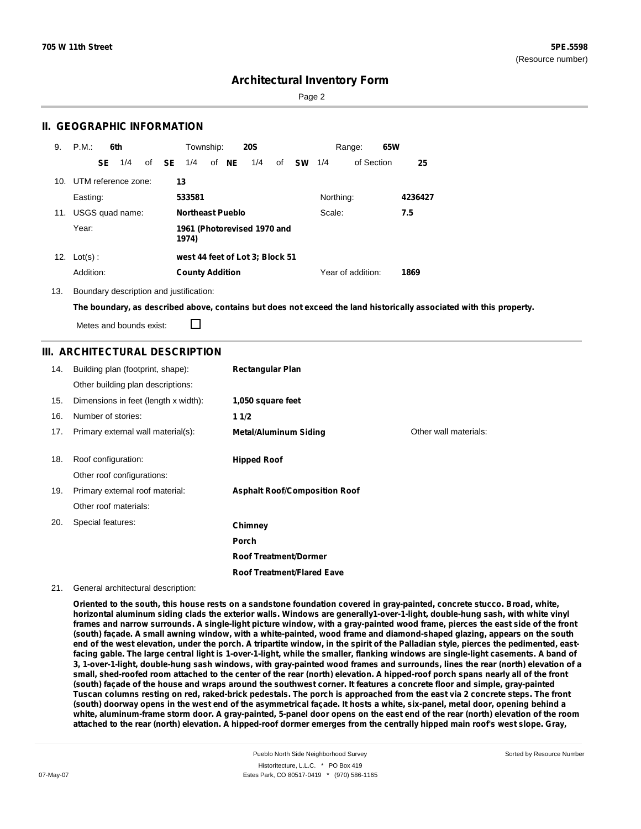Page 2

#### **II. GEOGRAPHIC INFORMATION**

| 9.              | P.M.       |           | 6th                 |                                      |              | Township:              |  |       | <b>20S</b>                      |    |               |           | Range:            | 65W |         |
|-----------------|------------|-----------|---------------------|--------------------------------------|--------------|------------------------|--|-------|---------------------------------|----|---------------|-----------|-------------------|-----|---------|
|                 |            | <b>SE</b> | 1/4                 |                                      | of <b>SE</b> | 1/4                    |  | of NE | 1/4                             | of | <b>SW</b> 1/4 |           | of Section        |     | 25      |
| 10 <sub>1</sub> |            |           | UTM reference zone: |                                      | 13           |                        |  |       |                                 |    |               |           |                   |     |         |
|                 | Easting:   |           |                     |                                      |              | 533581                 |  |       |                                 |    |               | Northing: |                   |     | 4236427 |
| 11.             |            |           | USGS quad name:     |                                      |              | Northeast Pueblo       |  |       |                                 |    |               | Scale:    |                   |     | 7.5     |
|                 | Year:      |           |                     | 1961 (Photorevised 1970 and<br>1974) |              |                        |  |       |                                 |    |               |           |                   |     |         |
| 12.             | $Lot(s)$ : |           |                     |                                      |              |                        |  |       | west 44 feet of Lot 3; Block 51 |    |               |           |                   |     |         |
|                 | Addition:  |           |                     |                                      |              | <b>County Addition</b> |  |       |                                 |    |               |           | Year of addition: |     | 1869    |

13. Boundary description and justification:

The boundary, as described above, contains but does not exceed the land historically associated with this property.

Metes and bounds exist:

П

#### **III. ARCHITECTURAL DESCRIPTION**

| 14. | Building plan (footprint, shape):<br>Other building plan descriptions: | <b>Rectangular Plan</b>              |                       |
|-----|------------------------------------------------------------------------|--------------------------------------|-----------------------|
|     |                                                                        |                                      |                       |
| 15. | Dimensions in feet (length x width):                                   | 1,050 square feet                    |                       |
| 16. | Number of stories:                                                     | 11/2                                 |                       |
| 17. | Primary external wall material(s):                                     | <b>Metal/Aluminum Siding</b>         | Other wall materials: |
| 18. | Roof configuration:                                                    | <b>Hipped Roof</b>                   |                       |
|     | Other roof configurations:                                             |                                      |                       |
| 19. | Primary external roof material:                                        | <b>Asphalt Roof/Composition Roof</b> |                       |
|     | Other roof materials:                                                  |                                      |                       |
| 20. | Special features:                                                      | Chimney                              |                       |
|     |                                                                        | Porch                                |                       |
|     |                                                                        | <b>Roof Treatment/Dormer</b>         |                       |
|     |                                                                        | <b>Roof Treatment/Flared Eave</b>    |                       |

#### 21. General architectural description:

Oriented to the south, this house rests on a sandstone foundation covered in gray-painted, concrete stucco. Broad, white, horizontal aluminum siding clads the exterior walls. Windows are generally1-over-1-light, double-hung sash, with white vinyl frames and narrow surrounds. A single-light picture window, with a gray-painted wood frame, pierces the east side of the front (south) façade. A small awning window, with a white-painted, wood frame and diamond-shaped glazing, appears on the south end of the west elevation, under the porch. A tripartite window, in the spirit of the Palladian style, pierces the pedimented, eastfacing gable. The large central light is 1-over-1-light, while the smaller, flanking windows are single-light casements. A band of 3, 1-over-1-light, double-hung sash windows, with gray-painted wood frames and surrounds, lines the rear (north) elevation of a small, shed-roofed room attached to the center of the rear (north) elevation. A hipped-roof porch spans nearly all of the front (south) façade of the house and wraps around the southwest corner. It features a concrete floor and simple, gray-painted Tuscan columns resting on red, raked-brick pedestals. The porch is approached from the east via 2 concrete steps. The front (south) doorway opens in the west end of the asymmetrical façade. It hosts a white, six-panel, metal door, opening behind a white, aluminum-frame storm door. A gray-painted, 5-panel door opens on the east end of the rear (north) elevation of the room attached to the rear (north) elevation. A hipped-roof dormer emerges from the centrally hipped main roof's west slope. Gray,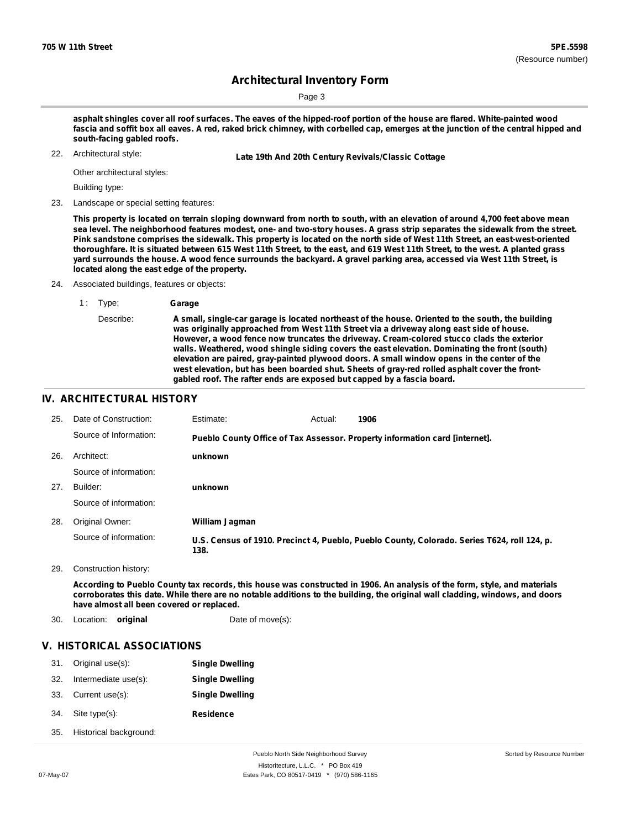Page 3

asphalt shingles cover all roof surfaces. The eaves of the hipped-roof portion of the house are flared. White-painted wood fascia and soffit box all eaves. A red, raked brick chimney, with corbelled cap, emerges at the junction of the central hipped and **south-facing gabled roofs.**

22. Architectural style:

22. **Late 19th And 20th Century Revivals/Classic Cottage**

Other architectural styles:

Building type:

23. Landscape or special setting features:

This property is located on terrain sloping downward from north to south, with an elevation of around 4,700 feet above mean sea level. The neighborhood features modest, one- and two-story houses. A grass strip separates the sidewalk from the street. Pink sandstone comprises the sidewalk. This property is located on the north side of West 11th Street, an east-west-oriented thoroughfare. It is situated between 615 West 11th Street, to the east, and 619 West 11th Street, to the west. A planted grass yard surrounds the house. A wood fence surrounds the backyard. A gravel parking area, accessed via West 11th Street, is **located along the east edge of the property.**

24. Associated buildings, features or objects:

Describe: **A small, single-car garage is located northeast of the house. Oriented to the south, the building was originally approached from West 11th Street via a driveway along east side of house. However, a wood fence now truncates the driveway. Cream-colored stucco clads the exterior walls. Weathered, wood shingle siding covers the east elevation. Dominating the front (south) elevation are paired, gray-painted plywood doors. A small window opens in the center of the west elevation, but has been boarded shut. Sheets of gray-red rolled asphalt cover the frontgabled roof. The rafter ends are exposed but capped by a fascia board.**

#### **IV. ARCHITECTURAL HISTORY**

| 25. | Date of Construction:  | Estimate:      | Actual: | 1906                                                                                        |
|-----|------------------------|----------------|---------|---------------------------------------------------------------------------------------------|
|     | Source of Information: |                |         | Pueblo County Office of Tax Assessor. Property information card [internet].                 |
| 26. | Architect:             | unknown        |         |                                                                                             |
|     | Source of information: |                |         |                                                                                             |
| 27. | Builder:               | unknown        |         |                                                                                             |
|     | Source of information: |                |         |                                                                                             |
| 28. | Original Owner:        | William Jagman |         |                                                                                             |
|     | Source of information: | 138.           |         | U.S. Census of 1910. Precinct 4, Pueblo, Pueblo County, Colorado. Series T624, roll 124, p. |

29. Construction history:

According to Pueblo County tax records, this house was constructed in 1906. An analysis of the form, style, and materials corroborates this date. While there are no notable additions to the building, the original wall cladding, windows, and doors **have almost all been covered or replaced.**

30. Location: **original** Date of move(s):

#### **V. HISTORICAL ASSOCIATIONS**

| 31. | Original use(s):       | <b>Single Dwelling</b> |
|-----|------------------------|------------------------|
| 32. | Intermediate use(s):   | <b>Single Dwelling</b> |
| 33. | Current use(s):        | <b>Single Dwelling</b> |
| 34. | Site type(s):          | <b>Residence</b>       |
| 35. | Historical background: |                        |

<sup>1</sup> : Type: **Garage**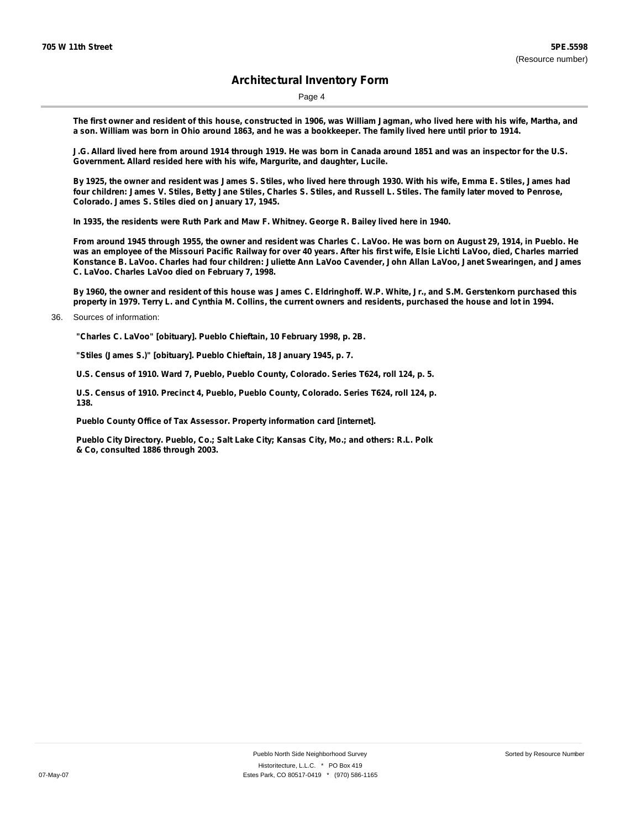Page 4

The first owner and resident of this house, constructed in 1906, was William Jagman, who lived here with his wife, Martha, and a son. William was born in Ohio around 1863, and he was a bookkeeper. The family lived here until prior to 1914.

J.G. Allard lived here from around 1914 through 1919. He was born in Canada around 1851 and was an inspector for the U.S. **Government. Allard resided here with his wife, Margurite, and daughter, Lucile.**

By 1925, the owner and resident was James S. Stiles, who lived here through 1930. With his wife, Emma E. Stiles, James had four children: James V. Stiles, Betty Jane Stiles, Charles S. Stiles, and Russell L. Stiles. The family later moved to Penrose, **Colorado. James S. Stiles died on January 17, 1945.**

**In 1935, the residents were Ruth Park and Maw F. Whitney. George R. Bailey lived here in 1940.**

From around 1945 through 1955, the owner and resident was Charles C. LaVoo. He was born on August 29, 1914, in Pueblo. He was an employee of the Missouri Pacific Railway for over 40 years. After his first wife, Elsie Lichti LaVoo, died, Charles married Konstance B. LaVoo. Charles had four children: Juliette Ann LaVoo Cavender, John Allan LaVoo, Janet Swearingen, and James **C. LaVoo. Charles LaVoo died on February 7, 1998.**

By 1960, the owner and resident of this house was James C. Eldringhoff. W.P. White, Jr., and S.M. Gerstenkorn purchased this property in 1979. Terry L. and Cynthia M. Collins, the current owners and residents, purchased the house and lot in 1994.

**"Charles C. LaVoo" [obituary]. Pueblo Chieftain, 10 February 1998, p. 2B.**

**"Stiles (James S.)" [obituary]. Pueblo Chieftain, 18 January 1945, p. 7.**

**U.S. Census of 1910. Ward 7, Pueblo, Pueblo County, Colorado. Series T624, roll 124, p. 5.**

**U.S. Census of 1910. Precinct 4, Pueblo, Pueblo County, Colorado. Series T624, roll 124, p. 138.**

**Pueblo County Office of Tax Assessor. Property information card [internet].**

**Pueblo City Directory. Pueblo, Co.; Salt Lake City; Kansas City, Mo.; and others: R.L. Polk & Co, consulted 1886 through 2003.**

<sup>36.</sup> Sources of information: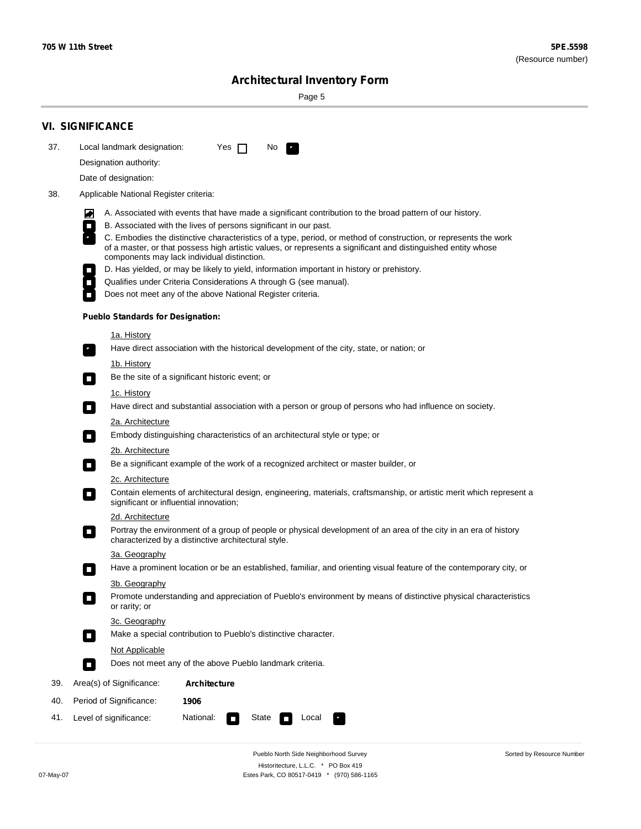۰

Sorted by Resource Number

# **Architectural Inventory Form**

Page 5

|     | <b>VI. SIGNIFICANCE</b>                                                                                                                                                                     |  |  |  |  |  |  |
|-----|---------------------------------------------------------------------------------------------------------------------------------------------------------------------------------------------|--|--|--|--|--|--|
| 37. | Local landmark designation:<br>Yes $\Box$<br>No.<br>$\mathcal{F}_\alpha^{\rm sc}$                                                                                                           |  |  |  |  |  |  |
|     | Designation authority:                                                                                                                                                                      |  |  |  |  |  |  |
|     | Date of designation:                                                                                                                                                                        |  |  |  |  |  |  |
| 38. | Applicable National Register criteria:                                                                                                                                                      |  |  |  |  |  |  |
|     |                                                                                                                                                                                             |  |  |  |  |  |  |
|     | A. Associated with events that have made a significant contribution to the broad pattern of our history.<br>M<br>B. Associated with the lives of persons significant in our past.<br>$\Box$ |  |  |  |  |  |  |
|     | C. Embodies the distinctive characteristics of a type, period, or method of construction, or represents the work                                                                            |  |  |  |  |  |  |
|     | of a master, or that possess high artistic values, or represents a significant and distinguished entity whose<br>components may lack individual distinction.                                |  |  |  |  |  |  |
|     | D. Has yielded, or may be likely to yield, information important in history or prehistory.                                                                                                  |  |  |  |  |  |  |
|     | Qualifies under Criteria Considerations A through G (see manual).<br>$\overline{\phantom{a}}$                                                                                               |  |  |  |  |  |  |
|     | Does not meet any of the above National Register criteria.                                                                                                                                  |  |  |  |  |  |  |
|     | <b>Pueblo Standards for Designation:</b>                                                                                                                                                    |  |  |  |  |  |  |
|     | 1a. History                                                                                                                                                                                 |  |  |  |  |  |  |
|     | Have direct association with the historical development of the city, state, or nation; or<br>$\overline{\phantom{a}}$ .                                                                     |  |  |  |  |  |  |
|     | 1b. History                                                                                                                                                                                 |  |  |  |  |  |  |
|     | Be the site of a significant historic event; or<br>$\Box$                                                                                                                                   |  |  |  |  |  |  |
|     | 1c. History                                                                                                                                                                                 |  |  |  |  |  |  |
|     | Have direct and substantial association with a person or group of persons who had influence on society.<br>$\overline{\phantom{a}}$                                                         |  |  |  |  |  |  |
|     | 2a. Architecture                                                                                                                                                                            |  |  |  |  |  |  |
|     | Embody distinguishing characteristics of an architectural style or type; or                                                                                                                 |  |  |  |  |  |  |
|     | 2b. Architecture                                                                                                                                                                            |  |  |  |  |  |  |
|     | Be a significant example of the work of a recognized architect or master builder, or<br>$\overline{\phantom{a}}$                                                                            |  |  |  |  |  |  |
|     | 2c. Architecture                                                                                                                                                                            |  |  |  |  |  |  |
|     | Contain elements of architectural design, engineering, materials, craftsmanship, or artistic merit which represent a<br>$\Box$<br>significant or influential innovation;                    |  |  |  |  |  |  |
|     | 2d. Architecture                                                                                                                                                                            |  |  |  |  |  |  |
|     | Portray the environment of a group of people or physical development of an area of the city in an era of history<br>$\blacksquare$<br>characterized by a distinctive architectural style.   |  |  |  |  |  |  |
|     | 3a. Geography                                                                                                                                                                               |  |  |  |  |  |  |
|     | Have a prominent location or be an established, familiar, and orienting visual feature of the contemporary city, or                                                                         |  |  |  |  |  |  |
|     | 3b. Geography                                                                                                                                                                               |  |  |  |  |  |  |
|     | Promote understanding and appreciation of Pueblo's environment by means of distinctive physical characteristics<br>or rarity; or                                                            |  |  |  |  |  |  |
|     | 3c. Geography                                                                                                                                                                               |  |  |  |  |  |  |
|     | Make a special contribution to Pueblo's distinctive character.<br>$\Box$                                                                                                                    |  |  |  |  |  |  |
|     | <b>Not Applicable</b>                                                                                                                                                                       |  |  |  |  |  |  |
|     | Does not meet any of the above Pueblo landmark criteria.<br>$\Box$                                                                                                                          |  |  |  |  |  |  |
| 39. | Area(s) of Significance:<br>Architecture                                                                                                                                                    |  |  |  |  |  |  |
| 40. | Period of Significance:<br>1906                                                                                                                                                             |  |  |  |  |  |  |
| 41. | Level of significance:<br>National:<br>State<br>Local<br>$\Box$                                                                                                                             |  |  |  |  |  |  |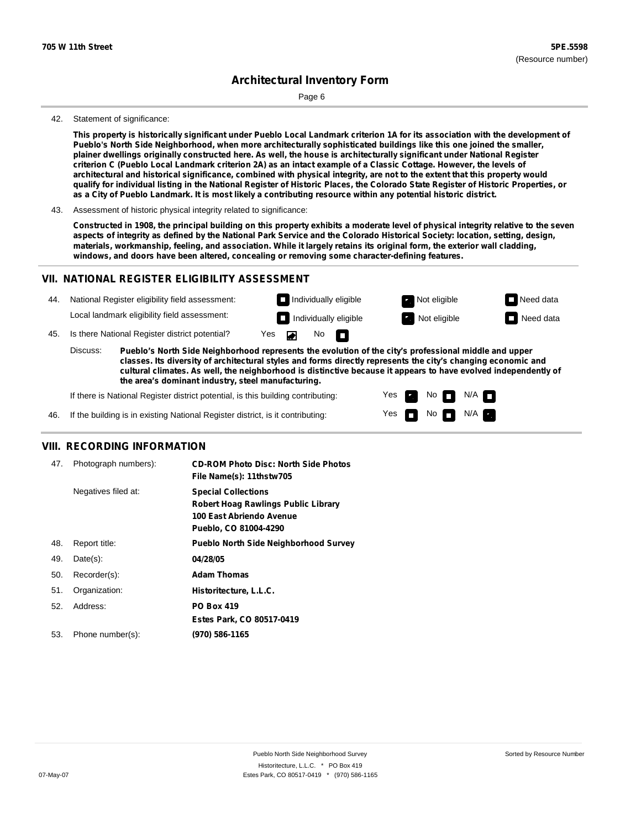Page 6

#### 42. Statement of significance:

This property is historically significant under Pueblo Local Landmark criterion 1A for its association with the development of **Pueblo's North Side Neighborhood, when more architecturally sophisticated buildings like this one joined the smaller,** plainer dwellings originally constructed here. As well, the house is architecturally significant under National Register criterion C (Pueblo Local Landmark criterion 2A) as an intact example of a Classic Cottage. However, the levels of architectural and historical significance, combined with physical integrity, are not to the extent that this property would qualify for individual listing in the National Register of Historic Places, the Colorado State Register of Historic Properties, or as a City of Pueblo Landmark. It is most likely a contributing resource within any potential historic district.

43. Assessment of historic physical integrity related to significance:

Constructed in 1908, the principal building on this property exhibits a moderate level of physical integrity relative to the seven aspects of integrity as defined by the National Park Service and the Colorado Historical Society: location, setting, design, materials, workmanship, feeling, and association. While it largely retains its original form, the exterior wall cladding, **windows, and doors have been altered, concealing or removing some character-defining features.**

#### **VII. NATIONAL REGISTER ELIGIBILITY ASSESSMENT**



**classes. Its diversity of architectural styles and forms directly represents the city's changing economic and cultural climates. As well, the neighborhood is distinctive because it appears to have evolved independently of the area's dominant industry, steel manufacturing.**

> Yes Yes

Non<sub>d</sub> N/A No  $\blacksquare$  N/A  $\blacksquare$ 

If there is National Register district potential, is this building contributing:

If the building is in existing National Register district, is it contributing: 46.

#### **VIII. RECORDING INFORMATION**

| 47. | Photograph numbers): | <b>CD-ROM Photo Disc: North Side Photos</b><br>File Name(s): 11thstw705                                                       |
|-----|----------------------|-------------------------------------------------------------------------------------------------------------------------------|
|     | Negatives filed at:  | <b>Special Collections</b><br><b>Robert Hoag Rawlings Public Library</b><br>100 East Abriendo Avenue<br>Pueblo, CO 81004-4290 |
| 48. | Report title:        | <b>Pueblo North Side Neighborhood Survey</b>                                                                                  |
| 49. | $Date(s)$ :          | 04/28/05                                                                                                                      |
| 50. | Recorder(s):         | <b>Adam Thomas</b>                                                                                                            |
| 51. | Organization:        | Historitecture, L.L.C.                                                                                                        |
| 52. | Address:             | <b>PO Box 419</b>                                                                                                             |
|     |                      | Estes Park, CO 80517-0419                                                                                                     |
| 53. | Phone number(s):     | (970) 586-1165                                                                                                                |
|     |                      |                                                                                                                               |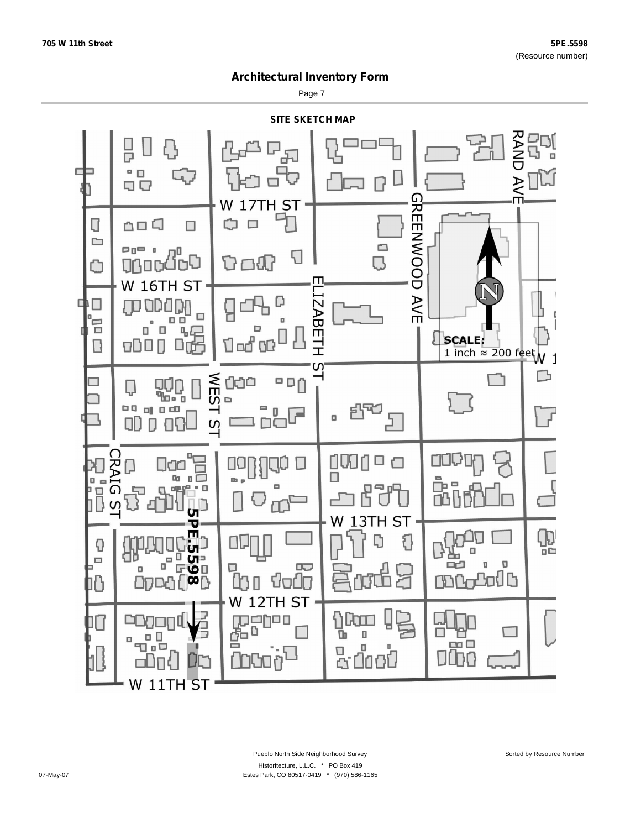Page 7